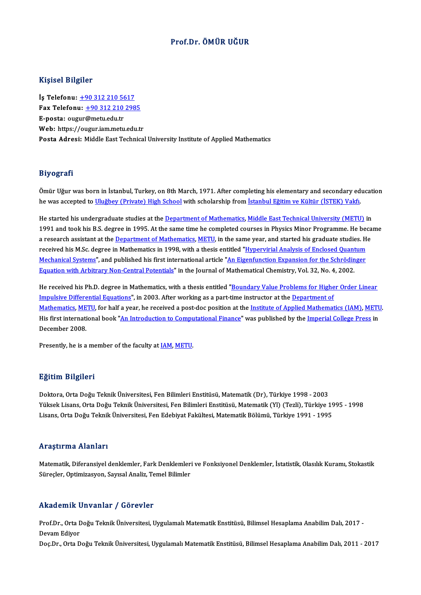## Prof.Dr. ÖMÜR UĞUR

#### Kişisel Bilgiler

İş Telefonu: +90 312 210 5617 1133001 2115101<br>İş Telefonu: <u>+90 312 210 5617</u><br>Fax Telefonu: <u>+90 312 210 2985</u> İş Telefonu: <u>+90 312 210 56</u><br>Fax Telefonu: <u>+90 312 210</u><br>E-posta: oug[ur](tel:+90 312 210 5617)[@metu.edu.tr](tel:+90 312 210 2985)<br>Web: bttrs://ougur.jam.metu Fax Telefonu: <u>+90 312 210 2985</u><br>E-posta: ougur@metu.edu.tr<br>Web: https://ougur.iam.metu.edu.tr<br>Posta Adrosi: Middle Fest Teshnisel E-posta: ougur@metu.edu.tr<br>Web: https://ougur.iam.metu.edu.tr<br>Posta Adresi: Middle East Technical University Institute of Applied Mathematics

#### Biyografi

Ömür Uğur was born in İstanbul, Turkey, on 8th March, 1971. After completing his elementary and secondary education كري حيد الله عليه الله عليه الله عليه الله عليه الله عليه الله عليه الله عليه الله عليه الله عليه الله عليه ال<br>he was accepted to <u>Uluğbey (Private) High School</u> with scholarship from <u>İstanbul Eğitim ve Kültür (İSTEK) Va</u>

He started his undergraduate studies at the Department of Mathematics, Middle East Technical University (METU) in<br>He started his undergraduate studies at the Department of Mathematics, Middle East Technical University (MET 1991 and took his B.S. degree in 1995. At the same time he completed courses in Physics Minor Programme. He became<br>1991 and took his B.S. degree in 1995. At the same time he completed courses in Physics Minor Programme. He He started his undergraduate studies at the <u>Department of Mathematics, Middle East Technical University (METU)</u> in<br>1991 and took his B.S. degree in 1995. At the same time he completed courses in Physics Minor Programme. H 1991 and took his B.S. degree in 1995. At the same time he completed courses in Physics Minor Programme. He bec<br>a research assistant at the <u>Department of Mathematics, METU</u>, in the same year, and started his graduate stud a research assistant at the <u>Department of Mathematics</u>, <u>METU</u>, in the same year, and started his graduate studies. He received his M.Sc. degree in Mathematics in 1998, with a thesis entitled "<u>Hypervirial Analysis of Enc</u> received his M.Sc. degree in Mathematics in 1998, with a thesis entitled "<u>Hypervirial Analysis of Enclosed Quant</u><br><u>Mechanical Systems</u>", and published his first international article "<u>An Eigenfunction Expansion for the S</u>

He received his Ph.D. degree in Mathematics, with a thesis entitled "Boundary Value Problems for Higher Order Linear<br>He received his Ph.D. degree in Mathematics, with a thesis entitled "<u>Boundary Value Problems for Higher </u> He received his Ph.D. degree in Mathematics, with a thesis entitled "<u>Boundary Value Problems for Higher Order Linear</u><br>Impulsive Differential Equations", in 2003. After working as a part-time instructor at the <u>Department </u> He received his Ph.D. degree in Mathematics, with a thesis entitled "<u>Boundary Value Problems for Higher Order Linear<br>Impulsive Differential Equations</u>", in 2003. After working as a part-time instructor at the <u>Department </u> Impulsive Differential Equations", in 2003. After working as a part-time instructor at the <u>Department of Mathematics (IAM), METU for</u> half a year, he received a post-doc position at the <u>Institute of Applied Mathematics (</u> <u>Mathematics, ME</u><br>His first internati<br>December 2008. His first international book "<u>An Introduction to Computational Finance</u>" was published by the <u>Imperial College Press</u> in December 2008.<br>December 2008.<br>Presently, he is a member of the faculty at <u>[IAM](http://iam.metu.edu.tr/), [METU](http://www.metu.edu.tr/)</u>.

#### Eğitim Bilgileri

Doktora,OrtaDoğuTeknikÜniversitesi,FenBilimleriEnstitüsü,Matematik(Dr),Türkiye 1998 -2003 25. saatun 23. september<br>Doktora, Orta Doğu Teknik Üniversitesi, Fen Bilimleri Enstitüsü, Matematik (Dr), Türkiye 1998 - 2003<br>Yüksek Lisans, Orta Doğu Teknik Üniversitesi, Fen Bilimleri Enstitüsü, Matematik (Yl) (Tezli), T Doktora, Orta Doğu Teknik Üniversitesi, Fen Bilimleri Enstitüsü, Matematik (Dr), Türkiye 1998 - 2003<br>Yüksek Lisans, Orta Doğu Teknik Üniversitesi, Fen Bilimleri Enstitüsü, Matematik (Yl) (Tezli), Türkiye 19<br>Lisans, Orta Do Lisans, Orta Doğu Teknik Üniversitesi, Fen Edebiyat Fakültesi, Matematik Bölümü, Türkiye 1991 - 1995<br>Arastırma Alanları

Matematik, Diferansiyel denklemler, Fark Denklemleri ve Fonksiyonel Denklemler, İstatistik, Olasılık Kuramı, Stokastik Süreçler, Optimizasyon, Sayısal Analiz, Temel Bilimler

#### Akademik Unvanlar / Görevler

**Akademik Unvanlar / Görevler**<br>Prof.Dr., Orta Doğu Teknik Üniversitesi, Uygulamalı Matematik Enstitüsü, Bilimsel Hesaplama Anabilim Dalı, 2017 -<br>Davam Ediyer rmaacmm<br>Prof.Dr., Orta I<br>Devam Ediyor<br>Des.Dr., Orta D

Devam Ediyor<br>Doç.Dr., Orta Doğu Teknik Üniversitesi, Uygulamalı Matematik Enstitüsü, Bilimsel Hesaplama Anabilim Dalı, 2011 - 2017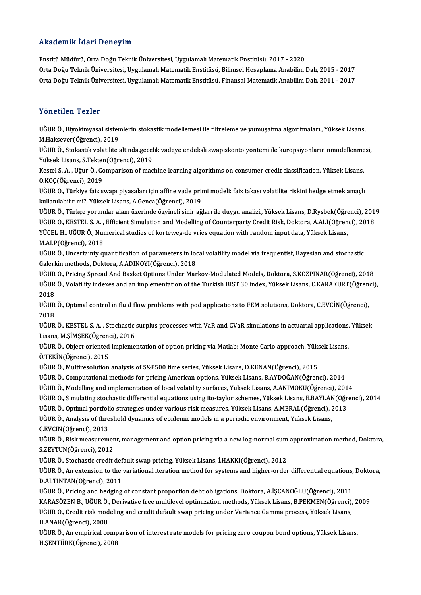## Akademik İdari Deneyim

EnstitüMüdürü,OrtaDoğuTeknikÜniversitesi,UygulamalıMatematikEnstitüsü,2017 -2020 Orta Doğu Teknik Üniversitesi, Uygulamalı Matematik Enstitüsü, Bilimsel Hesaplama Anabilim Dalı, 2015 - 2017 Orta Doğu Teknik Üniversitesi, Uygulamalı Matematik Enstitüsü, Finansal Matematik Anabilim Dalı, 2011 - 2017

## Yönetilen Tezler

Yönetilen Tezler<br>UĞUR Ö., Biyokimyasal sistemlerin stokastik modellemesi ile filtreleme ve yumuşatma algoritmaları., Yüksek Lisans,<br>M.Halrasvar(Öğransi), 2019 1 Ənetnen Temer<br>UĞUR Ö., Biyokimyasal sister<br>M.Haksever(Öğrenci), 2019<br>UĞUP Ö. Stekastik velatilite ( UĞUR Ö., Biyokimyasal sistemlerin stokastik modellemesi ile filtreleme ve yumuşatma algoritmaları., Yüksek Lisans,<br>M.Haksever(Öğrenci), 2019<br>UĞUR Ö., Stokastik volatilite altında,gecelık vadeye endeksli swapiskonto yöntemi

M.Haksever(Öğrenci), 2019<br>UĞUR Ö., Stokastik volatilite altında,gecel<br>Yüksek Lisans, S.Tekten(Öğrenci), 2019<br>Kestel S.A., Hğur Ö. Comparison of mas UĞUR Ö., Stokastik volatilite altında,gecelık vadeye endeksli swapiskonto yöntemi ile kuropsiyonlarınınmodellenme<br>Yüksek Lisans, S.Tekten(Öğrenci), 2019<br>Kestel S. A. , Uğur Ö., Comparison of machine learning algorithms on

Yüksek Lisans, S.Tekten(Öğrenci), 2019<br>Kestel S. A. , Uğur Ö., Comparison of machine learning algorithms on consumer credit classification, Yüksek Lisans,<br>O.KOÇ(Öğrenci), 2019 Kestel S. A. , Uğur Ö., Comparison of machine learning algorithms on consumer credit classification, Yüksek Lisans,<br>O.KOÇ(Öğrenci), 2019<br>UĞUR Ö., Türkiye faiz swapı piyasaları için affine vade primi modeli: faiz takası vol

0.KOÇ(Öğrenci), 2019<br>UĞUR Ö., Türkiye faiz swapı piyasaları için affine vade prin<br>kullanılabilir mi?, Yüksek Lisans, A.Genca(Öğrenci), 2019<br>UĞUP Ö. Türkee vorumlar alanı üzerinde örvineli sinir ağ UĞUR Ö., Türkiye faiz swapı piyasaları için affine vade primi modeli: faiz takası volatilite riskini hedge etmek amaçlı<br>kullanılabilir mi?, Yüksek Lisans, A.Genca(Öğrenci), 2019<br>UĞUR Ö., Türkçe yorumlar alanı üzerinde özyi

kullanılabilir mi?, Yüksek Lisans, A.Genca(Öğrenci), 2019<br>UĞUR Ö., Türkçe yorumlar alanı üzerinde özyineli sinir ağları ile duygu analizi., Yüksek Lisans, D.Rysbek(Öğrenci), 2019<br>UĞUR Ö., KESTEL S. A. , Efficient Simulatio UĞUR Ö., Türkçe yorumlar alanı üzerinde özyineli sinir ağları ile duygu analizi., Yüksek Lisans, D.Rysbek(Öğre<br>UĞUR Ö., KESTEL S. A. , Efficient Simulation and Modelling of Counterparty Credit Risk, Doktora, A.ALİ(Öğren<br>YÜ UĞUR Ö., KESTEL S. A. ,<br>YÜCEL H., UĞUR Ö., Nuı<br>M.ALP(Öğrenci), 2018<br>UĞUP Ö. Uncertainty S. YÜCEL H., UĞUR Ö., Numerical studies of korteweg-de vries equation with random input data, Yüksek Lisans,<br>M.ALP(Öğrenci), 2018<br>UĞUR Ö., Uncertainty quantification of parameters in local volatility model via frequentist, Ba

M.ALP(Öğrenci), 2018<br>UĞUR Ö., Uncertainty quantification of parameters in local volatility model via frequentist, Bayesian and stochastic<br>Galerkin methods, Doktora, A.ADINOYI(Öğrenci), 2018 UĞUR Ö., Uncertainty quantification of parameters in local volatility model via frequentist, Bayesian and stochastic<br>Galerkin methods, Doktora, A.ADINOYI(Öğrenci), 2018<br>UĞUR Ö., Pricing Spread And Basket Options Under Mark

Galerkin methods, Doktora, A.ADINOYI(Öğrenci), 2018<br>UĞUR Ö., Pricing Spread And Basket Options Under Markov-Modulated Models, Doktora, S.KOZPINAR(Öğrenci), 2018<br>UĞUR Ö., Volatility indexes and an implementation of the Turk UĞUR<br>UĞUR<br>2018<br>UĞUR UĞUR Ö., Volatility indexes and an implementation of the Turkish BIST 30 index, Yüksek Lisans, C.KARAKURT(Öğrenci),<br>2018<br>UĞUR Ö., Optimal control in fluid flow problems with pod applications to FEM solutions, Doktora, C.EV

UĞUR Ö., Optimal control in fluid flow problems with pod applications to FEM solutions, Doktora, C.EVCİN(Öğrenci), UĞUR Ö., Optimal control in fluid flow problems with pod applications to FEM solutions, Doktora, C.EVCİN(Öğrenci),<br>2018<br>UĞUR Ö., KESTEL S. A. , Stochastic surplus processes with VaR and CVaR simulations in actuarial applic

2018<br>UĞUR Ö., KESTEL S. A. , Stochastic<br>Lisans, M.ŞİMŞEK(Öğrenci), 2016<br>UĞUP Ö. Object eriented impleme UĞUR Ö., KESTEL S. A. , Stochastic surplus processes with VaR and CVaR simulations in actuarial applications,<br>Lisans, M.ŞİMŞEK(Öğrenci), 2016<br>UĞUR Ö., Object-oriented implementation of option pricing via Matlab: Monte Carl

Lisans, M.ŞİMŞEK(Öğrenc<br>UĞUR Ö., Object-oriented<br>Ö.TEKİN(Öğrenci), 2015 UĞUR Ö., Object-oriented implementation of option pricing via Matlab: Monte Carlo approach, Yüksek Lisans,<br>Ö.TEKİN(Öğrenci), 2015<br>UĞUR Ö., Multiresolution analysis of S&P500 time series, Yüksek Lisans, D.KENAN(Öğrenci), 20 Ö.TEKİN(Öğrenci), 2015<br>UĞUR Ö., Multiresolution analysis of S&P500 time series, Yüksek Lisans, D.KENAN(Öğrenci), 2015<br>UĞUR Ö., Computational methods for pricing American options, Yüksek Lisans, B.AYDOĞAN(Öğrenci), 2014<br>UĞU

UĞUR Ö., Multiresolution analysis of S&P500 time series, Yüksek Lisans, D.KENAN(Öğrenci), 2015<br>UĞUR Ö., Computational methods for pricing American options, Yüksek Lisans, B.AYDOĞAN(Öğrenci), 2014<br>UĞUR Ö., Modelling and imp

UĞUR Ö., Computational methods for pricing American options, Yüksek Lisans, B.AYDOĞAN(Öğrenci), 2014<br>UĞUR Ö., Modelling and implementation of local volatility surfaces, Yüksek Lisans, A.ANIMOKU(Öğrenci), 2014<br>UĞUR Ö., Simu

UĞUR Ö., Modelling and implementation of local volatility surfaces, Yüksek Lisans, A.ANIMOKU(Öğrenci), 201<br>UĞUR Ö., Simulating stochastic differential equations using ito-taylor schemes, Yüksek Lisans, E.BAYLAN(Öğr<br>UĞUR Ö. UĞUR Ö., Simulating stochastic differential equations using ito-taylor schemes, Yüksek Lisans, E.BAYLAN<br>UĞUR Ö., Optimal portfolio strategies under various risk measures, Yüksek Lisans, A.MERAL(Öğrenci), 2<br>UĞUR Ö., Analysi UĞUR Ö., Optimal portfolio strategies under various risk measures, Yüksek Lisans, A.MERAL(Öğrenci), 2013<br>UĞUR Ö., Analysis of threshold dynamics of epidemic models in a periodic environment, Yüksek Lisans,<br>C.EVCİN(Öğrenci)

UĞUR Ö., Analysis of threshold dynamics of epidemic models in a periodic environment, Yüksek Lisans,<br>C.EVCİN(Öğrenci), 2013<br>UĞUR Ö., Risk measurement, management and option pricing via a new log-normal sum approximation me C.EVCİN(Öğrenci), 2013<br>UĞUR Ö., Risk measuremer<br>S.ZEYTUN(Öğrenci), 2012<br>UĞUP Ö., Stachastis svedit UĞUR Ö., Risk measurement, management and option pricing via a new log-normal sum<br>S.ZEYTUN(Öğrenci), 2012<br>UĞUR Ö., Stochastic credit default swap pricing, Yüksek Lisans, İ.HAKKI(Öğrenci), 2012<br>UĞUR Ö. An evtensian ta the v

S.ZEYTUN(Öğrenci), 2012<br>UĞUR Ö., Stochastic credit default swap pricing, Yüksek Lisans, İ.HAKKI(Öğrenci), 2012<br>UĞUR Ö., An extension to the variational iteration method for systems and higher-order differential equations, UĞUR Ö., Stochastic credit def<br>UĞUR Ö., An extension to the<br>D.ALTINTAN(Öğrenci), 2011<br>UĞUP Ö., Prising and bodging UĞUR Ö., An extension to the variational iteration method for systems and higher-order differential equations,<br>D.ALTINTAN(Öğrenci), 2011<br>UĞUR Ö., Pricing and hedging of constant proportion debt obligations, Doktora, A.İŞCA

D.ALTINTAN(Öğrenci), 2011<br>UĞUR Ö., Pricing and hedging of constant proportion debt obligations, Doktora, A.İŞCANOĞLU(Öğrenci), 2011<br>KARASÖZEN B., UĞUR Ö., Derivative free multilevel optimization methods, Yüksek Lisans, B.P UĞUR Ö., Pricing and hedging of constant proportion debt obligations, Doktora, A.İŞCANOĞLU(Öğrenci), 2011<br>KARASÖZEN B., UĞUR Ö., Derivative free multilevel optimization methods, Yüksek Lisans, B.PEKMEN(Öğrenci),<br>UĞUR Ö., C KARASÖZEN B., UĞUR Ö.,<br>UĞUR Ö., Credit risk mod<br>H.ANAR(Öğrenci), 2008<br>UĞUP Ö. An amnirisal 30 UĞUR Ö., Credit risk modeling and credit default swap pricing under Variance Gamma process, Yüksek Lisans,<br>H.ANAR(Öğrenci), 2008<br>UĞUR Ö., An empirical comparison of interest rate models for pricing zero coupon bond options

H.ANAR(Öğrenci), 2008<br>UĞUR Ö., An empirical comp<br>H.ŞENTÜRK(Öğrenci), 2008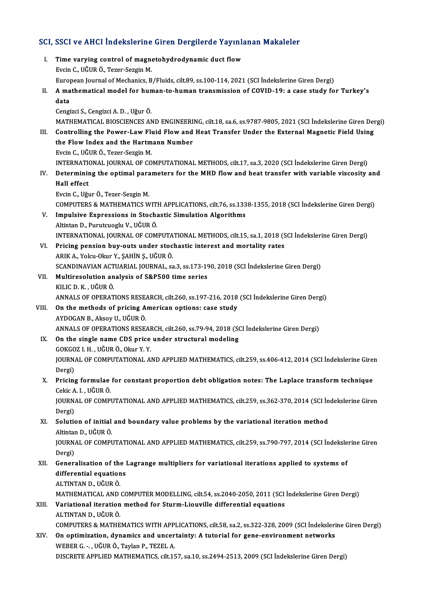# SCI, SSCI ve AHCI İndekslerine Giren Dergilerde Yayınlanan Makaleler<br>Makaleler

CI, SSCI ve AHCI İndekslerine Giren Dergilerde Yayınlı<br>I. Time varying control of magnetohydrodynamic duct flow<br>Evein G. Vğun ö. Teger Seggin M I. Time varying control of magnetohydrodynamic duct flow<br>Evcin C., UĞUR Ö., Tezer-Sezgin M. European Journal of Mechanics, B/Fluids, cilt.89, ss.100-114, 2021 (SCI İndekslerine Giren Dergi) Evcin C., UĞUR Ö., Tezer-Sezgin M.<br>European Journal of Mechanics, B/Fluids, cilt.89, ss.100-114, 2021 (SCI İndekslerine Giren Dergi)<br>II. A mathematical model for human-to-human transmission of COVID-19: a case study fo Euro<sub>l</sub><br>A ma<br>data A mathematical model for hund<br>data<br>Cengizci S., Cengizci A. D. , Uğur Ö.<br>MATHEMATICAL PIOSCIENCES AN **data**<br>Cengizci S., Cengizci A. D. , Uğur Ö.<br>MATHEMATICAL BIOSCIENCES AND ENGINEERING, cilt.18, sa.6, ss.9787-9805, 2021 (SCI İndekslerine Giren Dergi) Cengizci S., Cengizci A. D. , Uğur Ö.<br>MATHEMATICAL BIOSCIENCES AND ENGINEERING, cilt.18, sa.6, ss.9787-9805, 2021 (SCI İndekslerine Giren Den<br>III. Controlling the Power-Law Fluid Flow and Heat Transfer Under the External M MATHEMATICAL BIOSCIENCES AND ENGINEERI<br>Controlling the Power-Law Fluid Flow and<br>the Flow Index and the Hartmann Number<br>Evgin G HÖUP Ö, Taror Sargin M Controlling the Power-Law Fluthe Flow Index and the Hartm<br>Evcin C., UĞUR Ö., Tezer-Sezgin M.<br>INTERNATIONAL IOURNAL OF CO the Flow Index and the Hartmann Number<br>Evcin C., UĞUR Ö., Tezer-Sezgin M.<br>INTERNATIONAL JOURNAL OF COMPUTATIONAL METHODS, cilt.17, sa.3, 2020 (SCI İndekslerine Giren Dergi) Evcin C., UĞUR Ö., Tezer-Sezgin M.<br>INTERNATIONAL JOURNAL OF COMPUTATIONAL METHODS, cilt.17, sa.3, 2020 (SCI İndekslerine Giren Dergi)<br>IV. Determining the optimal parameters for the MHD flow and heat transfer with varia INTERNATION<br>Determinin<br>Hall effect<br>Evein C. Uğu Determining the optimal para<br>Hall effect<br>Evcin C., Uğur Ö., Tezer-Sezgin M.<br>COMPUTERS & MATHEMATICS W Hall effect<br>Evcin C., Uğur Ö., Tezer-Sezgin M.<br>COMPUTERS & MATHEMATICS WITH APPLICATIONS, cilt.76, ss.1338-1355, 2018 (SCI İndekslerine Giren Dergi)<br>Impulsive Expressions in Stasbastis Simulstion Alsonithms Evcin C., Uğur Ö., Tezer-Sezgin M.<br>COMPUTERS & MATHEMATICS WITH APPLICATIONS, cilt.76, ss.133<br>V. Impulsive Expressions in Stochastic Simulation Algorithms COMPUTERS & MATHEMATICS WITH<br>**Impulsive Expressions in Stoch**<br>Altintan D., Purutcuoglu V., UĞUR Ö.<br>INTERNATIONAL JOURNAL OF COM I<mark>mpulsive Expressions in Stochastic Simulation Algorithms</mark><br>Altintan D., Purutcuoglu V., UĞUR Ö.<br>INTERNATIONAL JOURNAL OF COMPUTATIONAL METHODS, cilt.15, sa.1, 2018 (SCI İndekslerine Giren Dergi)<br>Prising nengion buy, outs Altintan D., Purutcuoglu V., UĞUR Ö.<br>INTERNATIONAL JOURNAL OF COMPUTATIONAL METHODS, cilt.15, sa.1, 2018 (S<br>VI. Pricing pension buy-outs under stochastic interest and mortality rates INTERNATIONAL JOURNAL OF COMPUTA<br>Pricing pension buy-outs under stoc<br>ARIK A., Yolcu-Okur Y., ŞAHİN Ş., UĞUR Ö.<br>SCANDINAVIAN ACTUARIAL IQURNAL SS Pricing pension buy-outs under stochastic interest and mortality rates<br>ARIK A., Yolcu-Okur Y., ŞAHİN Ş., UĞUR Ö.<br>SCANDINAVIAN ACTUARIAL JOURNAL, sa.3, ss.173-190, 2018 (SCI İndekslerine Giren Dergi)<br>Multipeselution analysi ARIK A., Yolcu-Okur Y., ŞAHİN Ş., UĞUR Ö.<br>SCANDINAVIAN ACTUARIAL JOURNAL, sa.3, ss.173-19<br>VII. Multiresolution analysis of S&P500 time series<br>KILIC D. K., UĞUR Ö. SCANDINAVIAN ACT<br>Multiresolution an<br>KILIC D. K. , UĞUR Ö.<br>ANNALS OF OPERAT Multiresolution analysis of S&P500 time series<br>KILIC D. K., UĞUR Ö.<br>ANNALS OF OPERATIONS RESEARCH, cilt.260, ss.197-216, 2018 (SCI İndekslerine Giren Dergi)<br>On the methods of prising Amerisan antions: sese study. VIII. On the methods of pricing American options: case study<br>AYDOGAN B., Aksoy U., UĞUR Ö. ANNALS OF OPERATIONS RESEL<br>**On the methods of pricing A**<br>AYDOGAN B., Aksoy U., UĞUR Ö.<br>ANNALS OF OPERATIONS PESE. On the methods of pricing American options: case study<br>AYDOGAN B., Aksoy U., UĞUR Ö.<br>ANNALS OF OPERATIONS RESEARCH, cilt.260, ss.79-94, 2018 (SCI İndekslerine Giren Dergi)<br>On the single name CDS prise under structural mode AYDOGAN B., Aksoy U., UĞUR Ö.<br>ANNALS OF OPERATIONS RESEARCH, cilt.260, ss.79-94, 2018 (SONS PRICE 2018)<br>IX. On the single name CDS price under structural modeling<br>COKCOZ LH, HÖUR Ö. Olan V. V. ANNALS OF OPERATIONS RESEAF<br>On the single name CDS price<br>GOKGOZ I. H., UĞUR Ö., Okur Y. Y.<br>JOUPNAL OF COMBUTATIONAL A On the single name CDS price under structural modeling<br>GOKGOZ I. H. , UĞUR Ö., Okur Y. Y.<br>JOURNAL OF COMPUTATIONAL AND APPLIED MATHEMATICS, cilt.259, ss.406-412, 2014 (SCI İndekslerine Giren<br>Persi) GOKGO<br>JOURN<br>Dergi)<br>Prigine JOURNAL OF COMPUTATIONAL AND APPLIED MATHEMATICS, cilt.259, ss.406-412, 2014 (SCI Indekslerine Giren<br>Dergi)<br>X. Pricing formulae for constant proportion debt obligation notes: The Laplace transform technique<br>Coltie A. L. UČ Dergi)<br>X. Pricing formulae for constant proportion debt obligation notes: The Laplace transform technique<br>Cekic A. I. , UĞUR Ö. Pricing formulae for constant proportion debt obligation notes: The Laplace transform technique<br>Cekic A. I. , UĞUR Ö.<br>JOURNAL OF COMPUTATIONAL AND APPLIED MATHEMATICS, cilt.259, ss.362-370, 2014 (SCI İndekslerine Giren<br>Per Cekic A<br>JOURN<br>Dergi)<br>Solutic JOURNAL OF COMPUTATIONAL AND APPLIED MATHEMATICS, cilt.259, ss.362-370, 2014 (SCI İn<br>Dergi)<br>XI. Solution of initial and boundary value problems by the variational iteration method<br>Altinton D. VČUP Ö Dergi)<br><mark>Solution of initial</mark><br>Altintan D., UĞUR Ö.<br>JOUPNAL OE COMPI JOURNAL OF COMPUTATIONAL AND APPLIED MATHEMATICS, cilt.259, ss.790-797, 2014 (SCI İndekslerine Giren<br>Dergi) Altintan D., UĞUR Ö. JOURNAL OF COMPUTATIONAL AND APPLIED MATHEMATICS, cilt.259, ss.790-797, 2014 (SCI indeksle<br>Dergi)<br>XII. Generalisation of the Lagrange multipliers for variational iterations applied to systems of<br>differential caustions Dergi)<br>Generalisation of the l<br>differential equations<br>ALTINTAN D. HÖUP Ö **Generalisation of the<br>differential equation<br>ALTINTAN D., UĞUR Ö.<br>MATUEMATICAL AND.** differential equations<br>ALTINTAN D., UĞUR Ö.<br>MATHEMATICAL AND COMPUTER MODELLING, cilt.54, ss.2040-2050, 2011 (SCI İndekslerine Giren Dergi)<br>Variational itaration mathod for Sturm Liouvillo differential equations ALTINTAN D., UĞUR Ö.<br>MATHEMATICAL AND COMPUTER MODELLING, cilt54, ss.2040-2050, 2011 (SCI<br>XIII. Variational iteration method for Sturm-Liouville differential equations<br>ALTINTAN D., UĞUR Ö. MATHEMATICAL AND<br>Variational iteration<br>ALTINTAN D., UĞUR Ö.<br>COMBUTERS & MATUE Variational iteration method for Sturm-Liouville differential equations<br>ALTINTAN D., UĞUR Ö.<br>COMPUTERS & MATHEMATICS WITH APPLICATIONS, cilt.58, sa.2, ss.322-328, 2009 (SCI İndekslerine Giren Dergi)<br>On ontimization, dynami ALTINTAN D., UĞUR Ö.<br>COMPUTERS & MATHEMATICS WITH APPLICATIONS, cilt.58, sa.2, ss.322-328, 2009 (SCI İndeksleri<br>XIV. On optimization, dynamics and uncertainty: A tutorial for gene-environment networks<br>WERER C. UĞUR Ö. Tayl COMPUTERS & MATHEMATICS WITH APP.<br>On optimization, dynamics and uncer<br>WEBER G. -., UĞUR Ö., Taylan P., TEZEL A.<br>DISCRETE APPLIED MATHEMATICS silt 15 On optimization, dynamics and uncertainty: A tutorial for gene-environment networks<br>WEBER G. - , UĞUR Ö., Taylan P., TEZEL A.<br>DISCRETE APPLIED MATHEMATICS, cilt.157, sa.10, ss.2494-2513, 2009 (SCI İndekslerine Giren Dergi)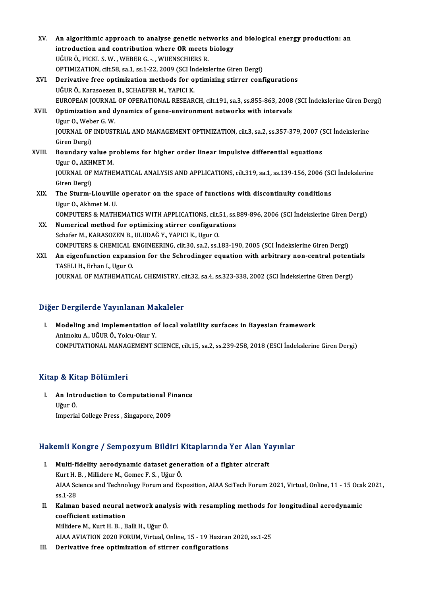- XV. An algorithmic approach to analyse genetic networks and biological energy production: an<br>introduction and contribution where QP meets biology An algorithmic approach to analyse genetic networks a<br>introduction and contribution where OR meets biology<br>UČUPÖ PICKLS W. WERER G. - WUENSCHIERS R introduction and contribution where OR meets biology<br>UĞUR Ö., PICKL S.W., WEBER G. - , WUENSCHIERS R. OPTIMIZATION, cilt.58, sa.1, ss.1-22, 2009 (SCI İndekslerine Giren Dergi) XVI. Derivative free optimization methods for optimizing stirrer configurations UĞURÖ., Karasoezen B., SCHAEFER M., YAPICI K. Derivative free optimization methods for optimizing stirrer configurations<br>UĞUR Ö., Karasoezen B., SCHAEFER M., YAPICI K.<br>EUROPEAN JOURNAL OF OPERATIONAL RESEARCH, cilt.191, sa.3, ss.855-863, 2008 (SCI İndekslerine Giren D XVII. Optimization and dynamics of gene-environment networks with intervals Ugur O., Weber G. W. EUROPEAN JOURNAL<br>Optimization and d<br>Ugur O., Weber G. W.<br>JOUPNAL OF INDUST Optimization and dynamics of gene-environment networks with intervals<br>Ugur O., Weber G. W.<br>JOURNAL OF INDUSTRIAL AND MANAGEMENT OPTIMIZATION, cilt.3, sa.2, ss.357-379, 2007 (SCI İndekslerine<br>Ciron Dergi) Ugur O., Web<br>JOURNAL OF<br>Giren Dergi)<br>Boundaru u JOURNAL OF INDUSTRIAL AND MANAGEMENT OPTIMIZATION, cilt.3, sa.2, ss.357-379, 2007 (<br>Giren Dergi)<br>XVIII. Boundary value problems for higher order linear impulsive differential equations<br>Heur O. AKHMET M Giren Dergi)<br>XVIII. Boundary value problems for higher order linear impulsive differential equations<br>Ugur O., AKHMET M. Boundary value problems for higher order linear impulsive differential equations<br>Ugur O., AKHMET M.<br>JOURNAL OF MATHEMATICAL ANALYSIS AND APPLICATIONS, cilt.319, sa.1, ss.139-156, 2006 (SCI İndekslerine<br>Ciron Dergi) Ugur O., AKH<br>JOURNAL OF<br>Giren Dergi)<br>The Stuum I JOURNAL OF MATHEMATICAL ANALYSIS AND APPLICATIONS, cilt.319, sa.1, ss.139-156, 2006 (SC<br>Giren Dergi)<br>XIX. The Sturm-Liouville operator on the space of functions with discontinuity conditions<br>Ugur O. Althmat M. H Giren Dergi)<br>The Sturm-Liouville operator on the space of functions with discontinuity conditions<br>Ugur O., Akhmet M. U. COMPUTERS&MATHEMATICSWITHAPPLICATIONS, cilt.51, ss.889-896,2006 (SCI İndekslerineGirenDergi) Ugur O., Akhmet M. U.<br>COMPUTERS & MATHEMATICS WITH APPLICATIONS, cilt.51, ss.<br>XX. Numerical method for optimizing stirrer configurations<br>Sebafor M. KARASOZEN B. HLUDAČ V. VARICLK, Hrup O. COMPUTERS & MATHEMATICS WITH APPLICATIONS, cilt.<br>Numerical method for optimizing stirrer configura<br>Schafer M., KARASOZEN B., ULUDAĞ Y., YAPICI K., Ugur O.<br>COMPUTERS & CHEMICAL ENCINEERING silt 30.03.3.02.1 Numerical method for optimizing stirrer configurations<br>Schafer M., KARASOZEN B., ULUDAĞ Y., YAPICI K., Ugur O.<br>COMPUTERS & CHEMICAL ENGINEERING, cilt.30, sa.2, ss.183-190, 2005 (SCI İndekslerine Giren Dergi)<br>An eigenfuncti Schafer M., KARASOZEN B., ULUDAĞ Y., YAPICI K., Ugur O.<br>COMPUTERS & CHEMICAL ENGINEERING, cilt.30, sa.2, ss.183-190, 2005 (SCI İndekslerine Giren Dergi)<br>XXI. An eigenfunction expansion for the Schrodinger equation with COMPUTERS & CHEMICAL I<br>An eigenfunction expans<br>TASELI H., Erhan I., Ugur O.<br>JOUPNAL OE MATHEMATIC
	- JOURNAL OF MATHEMATICAL CHEMISTRY, cilt.32, sa.4, ss.323-338, 2002 (SCI İndekslerine Giren Dergi)

# Diğer Dergilerde Yayınlanan Makaleler

I. Modeling and implementation of local volatility surfaces in Bayesian framework AnimokuA.,UĞURÖ.,Yolcu-Okur Y. COMPUTATIONAL MANAGEMENT SCIENCE, cilt.15, sa.2, ss.239-258, 2018 (ESCI İndekslerine Giren Dergi)

# Kitap & Kitap Bölümleri

itap & Kitap Bölümleri<br>I. An Introduction to Computational Finance<br>Uğur Ö pe 111.<br>**An Intr**<br>Uğur Ö. An Intr<mark>oduction to Computational Fi</mark><br>Uğur Ö.<br>Imperial College Press , Singapore, 2009

# imperial Conege Press , Singapore, 2009<br>Hakemli Kongre / Sempozyum Bildiri Kitaplarında Yer Alan Yayınlar

- akemli Kongre / Sempozyum Bildiri Kitaplarında Yer Alan Ya<br>I. Multi-fidelity aerodynamic dataset generation of a fighter aircraft<br>Kurt H. B. Millidare M. Comes E. S. Hăur Ö. Kurt Köngre 7 Semponyum Brunt I.<br>Multi-fidelity aerodynamic dataset gene<br>Kurt H. B. , Millidere M., Gomec F. S. , Uğur Ö.<br>AIAA Ssiense and Teshnelegy Ferum and Fr I. Multi-fidelity aerodynamic dataset generation of a fighter aircraft<br>Kurt H. B., Millidere M., Gomec F. S., Uğur Ö.<br>AIAA Science and Technology Forum and Exposition, AIAA SciTech Forum 2021, Virtual, Online, 11 - 15 Ocak Kurt H<br>AIAA Sc<br>ss.1-28<br>Kalman AIAA Science and Technology Forum and Exposition, AIAA SciTech Forum 2021, Virtual, Online, 11 - 15 Ocal<br>ss.1-28<br>II. Kalman based neural network analysis with resampling methods for longitudinal aerodynamic<br>soofficient est
- ss.1-28<br>Kalman based neural i<br>coefficient estimation<br>Millidana M. Kunt H. P. P Kalman based neural network anal<br>coefficient estimation<br>Millidere M., Kurt H. B. , Balli H., Uğur Ö.<br>AIAA AVIATION 2020 EOBUM Virtual C coefficient estimation<br>1920 - Millidere M., Kurt H. B. , Balli H., Uğur Ö.<br>19 Haziran 2020, ss.1-25 - AIAA AVIATION 2020 FORUM, Virtual, Online, 15 - 19 Haziran

III. Derivative free optimization of stirrer configurations